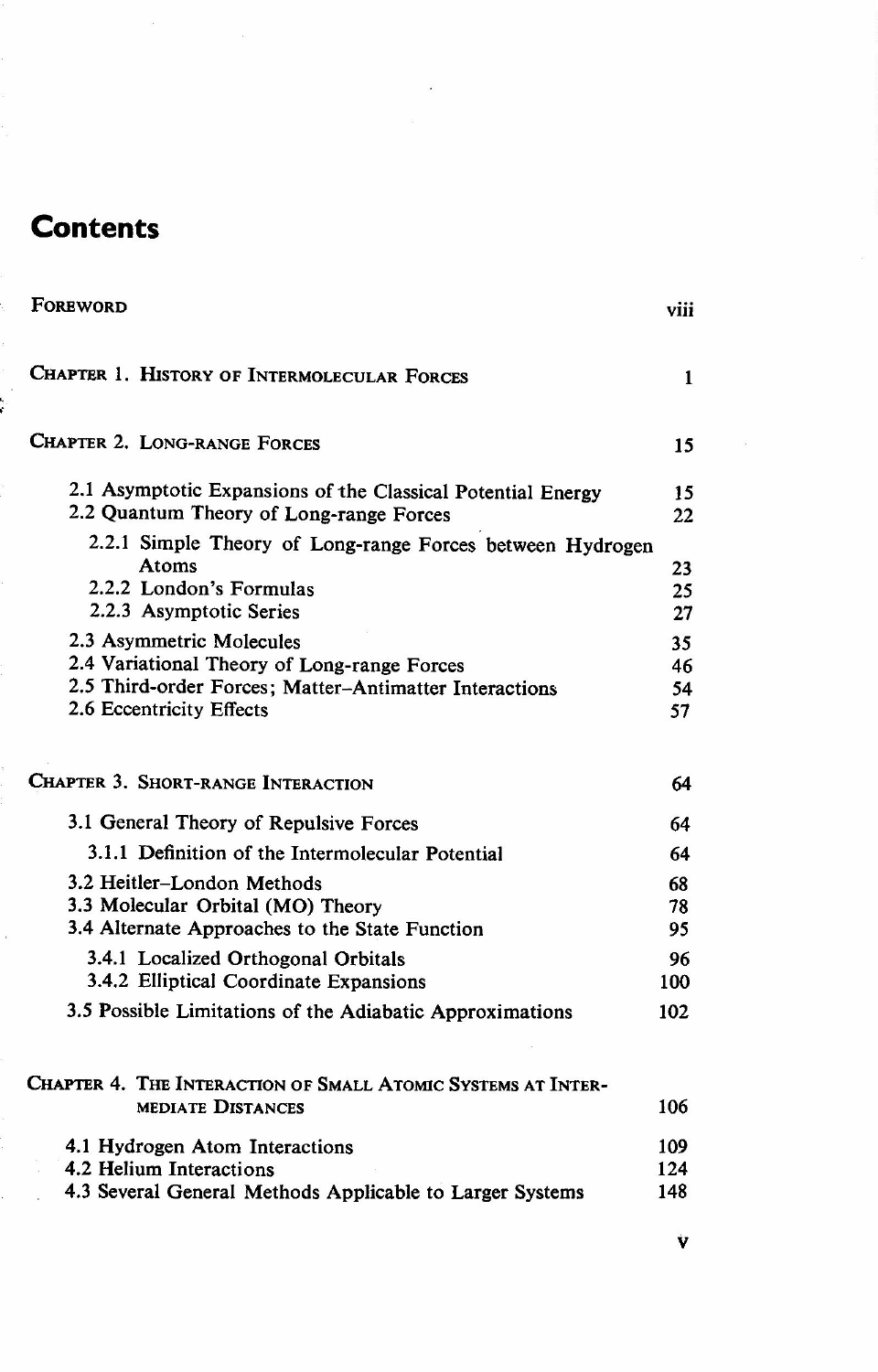## **Contents**

| FOREWORD                                                                                                                                                      | viii                 |
|---------------------------------------------------------------------------------------------------------------------------------------------------------------|----------------------|
| CHAPTER 1. HISTORY OF INTERMOLECULAR FORCES                                                                                                                   | 1                    |
| <b>CHAPTER 2. LONG-RANGE FORCES</b>                                                                                                                           | 15                   |
| 2.1 Asymptotic Expansions of the Classical Potential Energy<br>2.2 Quantum Theory of Long-range Forces                                                        | 15<br>22             |
| 2.2.1 Simple Theory of Long-range Forces between Hydrogen<br>Atoms<br>2.2.2 London's Formulas<br>2.2.3 Asymptotic Series                                      | 23<br>25<br>27       |
| 2.3 Asymmetric Molecules<br>2.4 Variational Theory of Long-range Forces<br>2.5 Third-order Forces; Matter-Antimatter Interactions<br>2.6 Eccentricity Effects | 35<br>46<br>54<br>57 |
| <b>CHAPTER 3. SHORT-RANGE INTERACTION</b>                                                                                                                     | 64                   |
| 3.1 General Theory of Repulsive Forces                                                                                                                        | 64                   |
| 3.1.1 Definition of the Intermolecular Potential                                                                                                              | 64                   |
| 3.2 Heitler-London Methods<br>3.3 Molecular Orbital (MO) Theory<br>3.4 Alternate Approaches to the State Function                                             | 68<br>78<br>95       |
| 3.4.1 Localized Orthogonal Orbitals                                                                                                                           | 96                   |
| 3.4.2 Elliptical Coordinate Expansions                                                                                                                        | 100                  |
| 3.5 Possible Limitations of the Adiabatic Approximations                                                                                                      | 102                  |
| CHAPTER 4. THE INTERACTION OF SMALL ATOMIC SYSTEMS AT INTER-<br><b>MEDIATE DISTANCES</b>                                                                      | 106                  |
| 4.1 Hydrogen Atom Interactions                                                                                                                                | 109                  |
| 4.2 Helium Interactions                                                                                                                                       | 124                  |
| 4.3 Several General Methods Applicable to Larger Systems                                                                                                      | 148                  |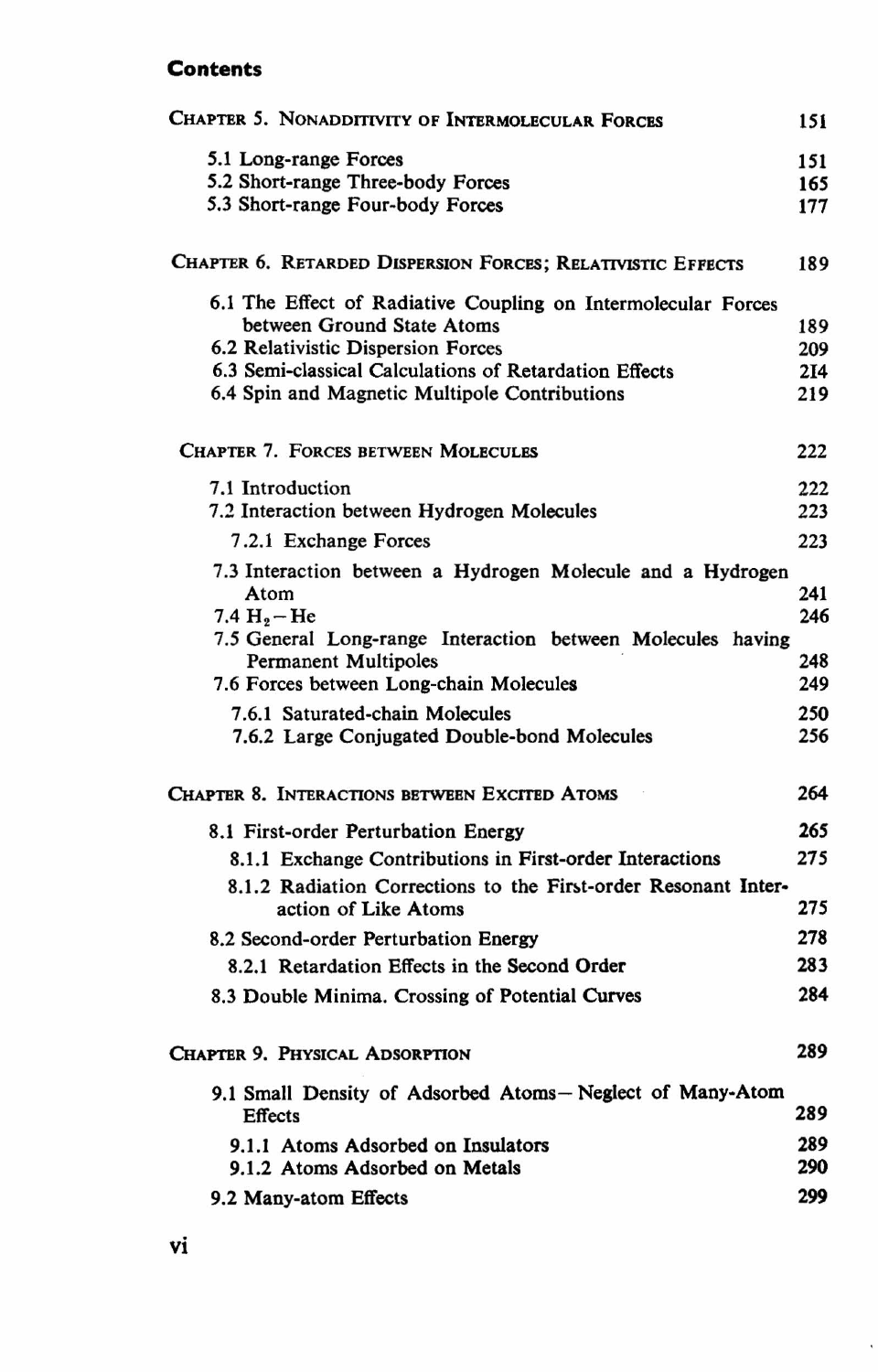## **Contents**

| CHAPTER 5. NONADDITIVITY OF INTERMOLECULAR FORCES                                      | 151             |
|----------------------------------------------------------------------------------------|-----------------|
| 5.1 Long-range Forces                                                                  | 151             |
| 5.2 Short-range Three-body Forces                                                      | 165             |
| 5.3 Short-range Four-body Forces                                                       | 177             |
| CHAPTER 6. RETARDED DISPERSION FORCES; RELATIVISTIC EFFECTS                            | 189             |
| 6.1 The Effect of Radiative Coupling on Intermolecular Forces                          |                 |
| between Ground State Atoms                                                             | 189             |
| 6.2 Relativistic Dispersion Forces                                                     | 209             |
| 6.3 Semi-classical Calculations of Retardation Effects                                 | 2I <sub>4</sub> |
| 6.4 Spin and Magnetic Multipole Contributions                                          | 219             |
| <b>CHAPTER 7. FORCES BETWEEN MOLECULES</b>                                             | 222             |
| 7.1 Introduction                                                                       | 222             |
| 7.2 Interaction between Hydrogen Molecules                                             | 223             |
| 7.2.1 Exchange Forces                                                                  | 223             |
| 7.3 Interaction between a Hydrogen Molecule and a Hydrogen                             |                 |
| Atom                                                                                   | 241             |
| 7.4 $H_2$ – He                                                                         | 246             |
| 7.5 General Long-range Interaction between Molecules having                            |                 |
| <b>Permanent Multipoles</b>                                                            | 248             |
| 7.6 Forces between Long-chain Molecules                                                | 249             |
| 7.6.1 Saturated-chain Molecules                                                        | 250             |
| 7.6.2 Large Conjugated Double-bond Molecules                                           | 256             |
| <b>CHAPTER 8. INTERACTIONS BETWEEN EXCITED ATOMS</b>                                   | 264             |
| 8.1 First-order Perturbation Energy                                                    | 265             |
| 8.1.1 Exchange Contributions in First-order Interactions                               | 275             |
|                                                                                        |                 |
| 8.1.2 Radiation Corrections to the First-order Resonant Inter-<br>action of Like Atoms | 275             |
|                                                                                        |                 |
| 8.2 Second-order Perturbation Energy                                                   | 278             |
| 8.2.1 Retardation Effects in the Second Order                                          | 283             |
| 8.3 Double Minima. Crossing of Potential Curves                                        | 284             |
| CHAPTER 9. PHYSICAL ADSORPTION                                                         | 289             |
| 9.1 Small Density of Adsorbed Atoms-Neglect of Many-Atom                               |                 |
| <b>Effects</b>                                                                         | 289             |
| 9.1.1 Atoms Adsorbed on Insulators                                                     | 289             |
| 9.1.2 Atoms Adsorbed on Metals                                                         | 290             |
| 9.2 Many-atom Effects                                                                  | 299             |